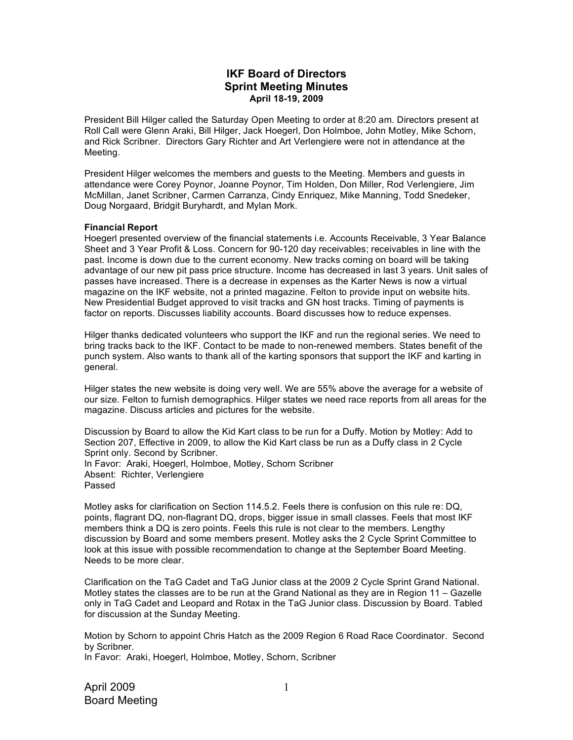# **IKF Board of Directors Sprint Meeting Minutes April 18-19, 2009**

President Bill Hilger called the Saturday Open Meeting to order at 8:20 am. Directors present at Roll Call were Glenn Araki, Bill Hilger, Jack Hoegerl, Don Holmboe, John Motley, Mike Schorn, and Rick Scribner. Directors Gary Richter and Art Verlengiere were not in attendance at the Meeting.

President Hilger welcomes the members and guests to the Meeting. Members and guests in attendance were Corey Poynor, Joanne Poynor, Tim Holden, Don Miller, Rod Verlengiere, Jim McMillan, Janet Scribner, Carmen Carranza, Cindy Enriquez, Mike Manning, Todd Snedeker, Doug Norgaard, Bridgit Buryhardt, and Mylan Mork.

## **Financial Report**

Hoegerl presented overview of the financial statements i.e. Accounts Receivable, 3 Year Balance Sheet and 3 Year Profit & Loss. Concern for 90-120 day receivables; receivables in line with the past. Income is down due to the current economy. New tracks coming on board will be taking advantage of our new pit pass price structure. Income has decreased in last 3 years. Unit sales of passes have increased. There is a decrease in expenses as the Karter News is now a virtual magazine on the IKF website, not a printed magazine. Felton to provide input on website hits. New Presidential Budget approved to visit tracks and GN host tracks. Timing of payments is factor on reports. Discusses liability accounts. Board discusses how to reduce expenses.

Hilger thanks dedicated volunteers who support the IKF and run the regional series. We need to bring tracks back to the IKF. Contact to be made to non-renewed members. States benefit of the punch system. Also wants to thank all of the karting sponsors that support the IKF and karting in general.

Hilger states the new website is doing very well. We are 55% above the average for a website of our size. Felton to furnish demographics. Hilger states we need race reports from all areas for the magazine. Discuss articles and pictures for the website.

Discussion by Board to allow the Kid Kart class to be run for a Duffy. Motion by Motley: Add to Section 207, Effective in 2009, to allow the Kid Kart class be run as a Duffy class in 2 Cycle Sprint only. Second by Scribner. In Favor: Araki, Hoegerl, Holmboe, Motley, Schorn Scribner Absent: Richter, Verlengiere Passed

Motley asks for clarification on Section 114.5.2. Feels there is confusion on this rule re: DQ, points, flagrant DQ, non-flagrant DQ, drops, bigger issue in small classes. Feels that most IKF members think a DQ is zero points. Feels this rule is not clear to the members. Lengthy discussion by Board and some members present. Motley asks the 2 Cycle Sprint Committee to look at this issue with possible recommendation to change at the September Board Meeting. Needs to be more clear.

Clarification on the TaG Cadet and TaG Junior class at the 2009 2 Cycle Sprint Grand National. Motley states the classes are to be run at the Grand National as they are in Region 11 – Gazelle only in TaG Cadet and Leopard and Rotax in the TaG Junior class. Discussion by Board. Tabled for discussion at the Sunday Meeting.

Motion by Schorn to appoint Chris Hatch as the 2009 Region 6 Road Race Coordinator. Second by Scribner.

In Favor: Araki, Hoegerl, Holmboe, Motley, Schorn, Scribner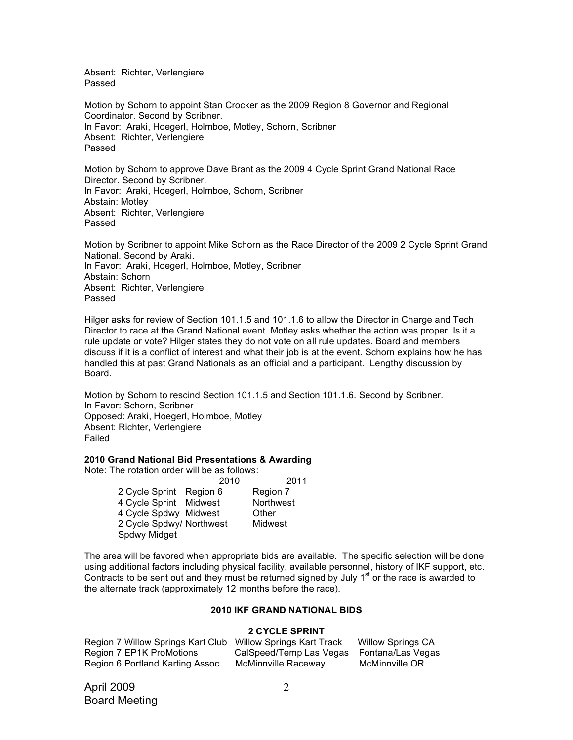Absent: Richter, Verlengiere Passed

Motion by Schorn to appoint Stan Crocker as the 2009 Region 8 Governor and Regional Coordinator. Second by Scribner. In Favor: Araki, Hoegerl, Holmboe, Motley, Schorn, Scribner Absent: Richter, Verlengiere Passed

Motion by Schorn to approve Dave Brant as the 2009 4 Cycle Sprint Grand National Race Director. Second by Scribner. In Favor: Araki, Hoegerl, Holmboe, Schorn, Scribner Abstain: Motley Absent: Richter, Verlengiere Passed

Motion by Scribner to appoint Mike Schorn as the Race Director of the 2009 2 Cycle Sprint Grand National. Second by Araki. In Favor: Araki, Hoegerl, Holmboe, Motley, Scribner Abstain: Schorn Absent: Richter, Verlengiere Passed

Hilger asks for review of Section 101.1.5 and 101.1.6 to allow the Director in Charge and Tech Director to race at the Grand National event. Motley asks whether the action was proper. Is it a rule update or vote? Hilger states they do not vote on all rule updates. Board and members discuss if it is a conflict of interest and what their job is at the event. Schorn explains how he has handled this at past Grand Nationals as an official and a participant. Lengthy discussion by Board.

Motion by Schorn to rescind Section 101.1.5 and Section 101.1.6. Second by Scribner. In Favor: Schorn, Scribner Opposed: Araki, Hoegerl, Holmboe, Motley Absent: Richter, Verlengiere Failed

### **2010 Grand National Bid Presentations & Awarding**

Note: The rotation order will be as follows:

|                          | 2010 | 2011      |
|--------------------------|------|-----------|
| 2 Cycle Sprint Region 6  |      | Region 7  |
| 4 Cycle Sprint Midwest   |      | Northwest |
| 4 Cycle Spdwy Midwest    |      | Other     |
| 2 Cycle Spdwy/ Northwest |      | Midwest   |
| Spdwy Midget             |      |           |

The area will be favored when appropriate bids are available. The specific selection will be done using additional factors including physical facility, available personnel, history of IKF support, etc. Contracts to be sent out and they must be returned signed by July  $1<sup>st</sup>$  or the race is awarded to the alternate track (approximately 12 months before the race).

### **2010 IKF GRAND NATIONAL BIDS**

### **2 CYCLE SPRINT**

| Region 7 Willow Springs Kart Club | <b>Willow Springs Kart Track</b> | <b>Willow Springs CA</b> |
|-----------------------------------|----------------------------------|--------------------------|
| Region 7 EP1K ProMotions          | CalSpeed/Temp Las Vegas          | Fontana/Las Vegas        |
| Region 6 Portland Karting Assoc.  | McMinnville Raceway              | McMinnville OR           |

April 2009 Board Meeting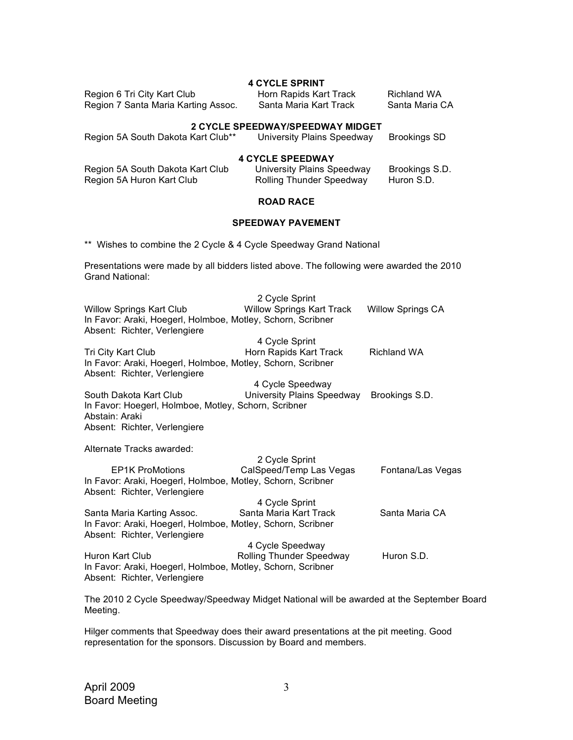| <b>4 CYCLE SPRINT</b>               |                        |                |  |
|-------------------------------------|------------------------|----------------|--|
| Region 6 Tri City Kart Club         | Horn Rapids Kart Track | Richland WA    |  |
| Region 7 Santa Maria Karting Assoc. | Santa Maria Kart Track | Santa Maria CA |  |

#### **2 CYCLE SPEEDWAY/SPEEDWAY MIDGET**

| Region 5A South Dakota Kart Club** | University Plains Speedway | Brookings SD |  |
|------------------------------------|----------------------------|--------------|--|
| $\overline{I}$ avair arrenulav     |                            |              |  |

#### **4 CYCLE SPEEDWAY**

| Region 5A South Dakota Kart Club | University Plains Speedway      | Brookings S.D. |
|----------------------------------|---------------------------------|----------------|
| Region 5A Huron Kart Club        | <b>Rolling Thunder Speedway</b> | Huron S.D.     |

# **ROAD RACE**

## **SPEEDWAY PAVEMENT**

\*\* Wishes to combine the 2 Cycle & 4 Cycle Speedway Grand National

Presentations were made by all bidders listed above. The following were awarded the 2010 Grand National:

| Willow Springs Kart Club<br>In Favor: Araki, Hoegerl, Holmboe, Motley, Schorn, Scribner<br>Absent: Richter, Verlengiere | 2 Cycle Sprint<br><b>Willow Springs Kart Track</b> | <b>Willow Springs CA</b> |
|-------------------------------------------------------------------------------------------------------------------------|----------------------------------------------------|--------------------------|
|                                                                                                                         | 4 Cycle Sprint                                     |                          |
| Tri City Kart Club<br>In Favor: Araki, Hoegerl, Holmboe, Motley, Schorn, Scribner<br>Absent: Richter, Verlengiere       | Horn Rapids Kart Track                             | <b>Richland WA</b>       |
|                                                                                                                         | 4 Cycle Speedway                                   |                          |
| South Dakota Kart Club<br>In Favor: Hoegerl, Holmboe, Motley, Schorn, Scribner                                          | University Plains Speedway                         | Brookings S.D.           |
| Abstain: Araki                                                                                                          |                                                    |                          |
| Absent: Richter, Verlengiere                                                                                            |                                                    |                          |
| Alternate Tracks awarded:                                                                                               |                                                    |                          |
|                                                                                                                         | 2 Cycle Sprint                                     |                          |
| <b>EP1K ProMotions</b>                                                                                                  | CalSpeed/Temp Las Vegas                            | Fontana/Las Vegas        |
| In Favor: Araki, Hoegerl, Holmboe, Motley, Schorn, Scribner<br>Absent: Richter, Verlengiere                             |                                                    |                          |
|                                                                                                                         | 4 Cycle Sprint                                     |                          |
| Santa Maria Karting Assoc.<br>In Favor: Araki, Hoegerl, Holmboe, Motley, Schorn, Scribner                               | Santa Maria Kart Track                             | Santa Maria CA           |
| Absent: Richter, Verlengiere                                                                                            |                                                    |                          |
|                                                                                                                         | 4 Cycle Speedway                                   |                          |
| Huron Kart Club<br>In Favor: Araki, Hoegerl, Holmboe, Motley, Schorn, Scribner<br>Absent: Richter, Verlengiere          | Rolling Thunder Speedway                           | Huron S.D.               |
|                                                                                                                         |                                                    |                          |

The 2010 2 Cycle Speedway/Speedway Midget National will be awarded at the September Board Meeting.

Hilger comments that Speedway does their award presentations at the pit meeting. Good representation for the sponsors. Discussion by Board and members.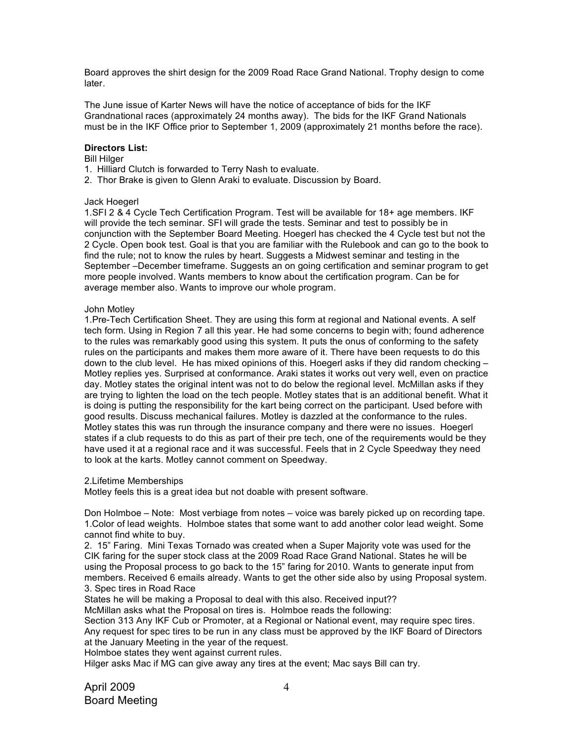Board approves the shirt design for the 2009 Road Race Grand National. Trophy design to come later.

The June issue of Karter News will have the notice of acceptance of bids for the IKF Grandnational races (approximately 24 months away). The bids for the IKF Grand Nationals must be in the IKF Office prior to September 1, 2009 (approximately 21 months before the race).

## **Directors List:**

### Bill Hilger

- 1. Hilliard Clutch is forwarded to Terry Nash to evaluate.
- 2. Thor Brake is given to Glenn Araki to evaluate. Discussion by Board.

## Jack Hoegerl

1.SFI 2 & 4 Cycle Tech Certification Program. Test will be available for 18+ age members. IKF will provide the tech seminar. SFI will grade the tests. Seminar and test to possibly be in conjunction with the September Board Meeting. Hoegerl has checked the 4 Cycle test but not the 2 Cycle. Open book test. Goal is that you are familiar with the Rulebook and can go to the book to find the rule; not to know the rules by heart. Suggests a Midwest seminar and testing in the September –December timeframe. Suggests an on going certification and seminar program to get more people involved. Wants members to know about the certification program. Can be for average member also. Wants to improve our whole program.

### John Motley

1.Pre-Tech Certification Sheet. They are using this form at regional and National events. A self tech form. Using in Region 7 all this year. He had some concerns to begin with; found adherence to the rules was remarkably good using this system. It puts the onus of conforming to the safety rules on the participants and makes them more aware of it. There have been requests to do this down to the club level. He has mixed opinions of this. Hoegerl asks if they did random checking – Motley replies yes. Surprised at conformance. Araki states it works out very well, even on practice day. Motley states the original intent was not to do below the regional level. McMillan asks if they are trying to lighten the load on the tech people. Motley states that is an additional benefit. What it is doing is putting the responsibility for the kart being correct on the participant. Used before with good results. Discuss mechanical failures. Motley is dazzled at the conformance to the rules. Motley states this was run through the insurance company and there were no issues. Hoegerl states if a club requests to do this as part of their pre tech, one of the requirements would be they have used it at a regional race and it was successful. Feels that in 2 Cycle Speedway they need to look at the karts. Motley cannot comment on Speedway.

2.Lifetime Memberships

Motley feels this is a great idea but not doable with present software.

Don Holmboe – Note: Most verbiage from notes – voice was barely picked up on recording tape. 1.Color of lead weights. Holmboe states that some want to add another color lead weight. Some cannot find white to buy.

2. 15" Faring. Mini Texas Tornado was created when a Super Majority vote was used for the CIK faring for the super stock class at the 2009 Road Race Grand National. States he will be using the Proposal process to go back to the 15" faring for 2010. Wants to generate input from members. Received 6 emails already. Wants to get the other side also by using Proposal system. 3. Spec tires in Road Race

States he will be making a Proposal to deal with this also. Received input??

McMillan asks what the Proposal on tires is. Holmboe reads the following:

Section 313 Any IKF Cub or Promoter, at a Regional or National event, may require spec tires. Any request for spec tires to be run in any class must be approved by the IKF Board of Directors at the January Meeting in the year of the request.

Holmboe states they went against current rules.

Hilger asks Mac if MG can give away any tires at the event; Mac says Bill can try.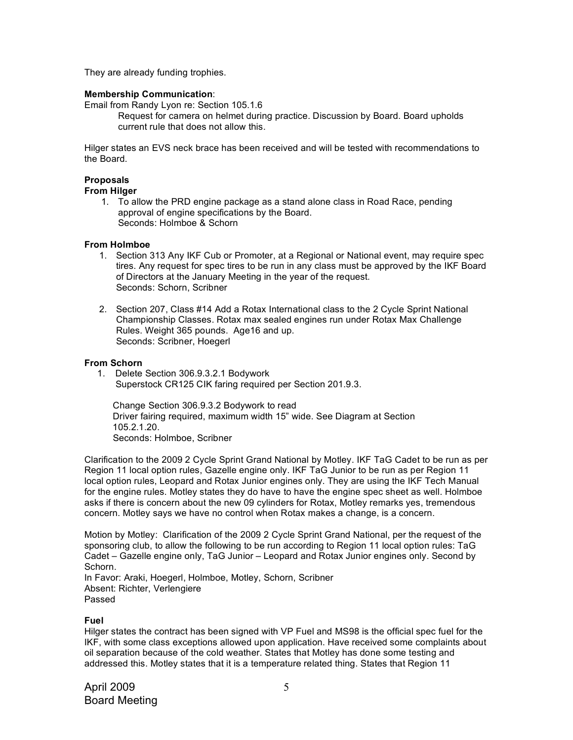They are already funding trophies.

## **Membership Communication**:

Email from Randy Lyon re: Section 105.1.6

Request for camera on helmet during practice. Discussion by Board. Board upholds current rule that does not allow this.

Hilger states an EVS neck brace has been received and will be tested with recommendations to the Board.

## **Proposals**

#### **From Hilger**

1. To allow the PRD engine package as a stand alone class in Road Race, pending approval of engine specifications by the Board. Seconds: Holmboe & Schorn

### **From Holmboe**

- 1. Section 313 Any IKF Cub or Promoter, at a Regional or National event, may require spec tires. Any request for spec tires to be run in any class must be approved by the IKF Board of Directors at the January Meeting in the year of the request. Seconds: Schorn, Scribner
- 2. Section 207, Class #14 Add a Rotax International class to the 2 Cycle Sprint National Championship Classes. Rotax max sealed engines run under Rotax Max Challenge Rules. Weight 365 pounds. Age16 and up. Seconds: Scribner, Hoegerl

## **From Schorn**

 1. Delete Section 306.9.3.2.1 Bodywork Superstock CR125 CIK faring required per Section 201.9.3.

 Change Section 306.9.3.2 Bodywork to read Driver fairing required, maximum width 15" wide. See Diagram at Section 105.2.1.20. Seconds: Holmboe, Scribner

Clarification to the 2009 2 Cycle Sprint Grand National by Motley. IKF TaG Cadet to be run as per Region 11 local option rules, Gazelle engine only. IKF TaG Junior to be run as per Region 11 local option rules, Leopard and Rotax Junior engines only. They are using the IKF Tech Manual for the engine rules. Motley states they do have to have the engine spec sheet as well. Holmboe asks if there is concern about the new 09 cylinders for Rotax, Motley remarks yes, tremendous concern. Motley says we have no control when Rotax makes a change, is a concern.

Motion by Motley: Clarification of the 2009 2 Cycle Sprint Grand National, per the request of the sponsoring club, to allow the following to be run according to Region 11 local option rules: TaG Cadet – Gazelle engine only, TaG Junior – Leopard and Rotax Junior engines only. Second by Schorn.

In Favor: Araki, Hoegerl, Holmboe, Motley, Schorn, Scribner Absent: Richter, Verlengiere Passed

### **Fuel**

Hilger states the contract has been signed with VP Fuel and MS98 is the official spec fuel for the IKF, with some class exceptions allowed upon application. Have received some complaints about oil separation because of the cold weather. States that Motley has done some testing and addressed this. Motley states that it is a temperature related thing. States that Region 11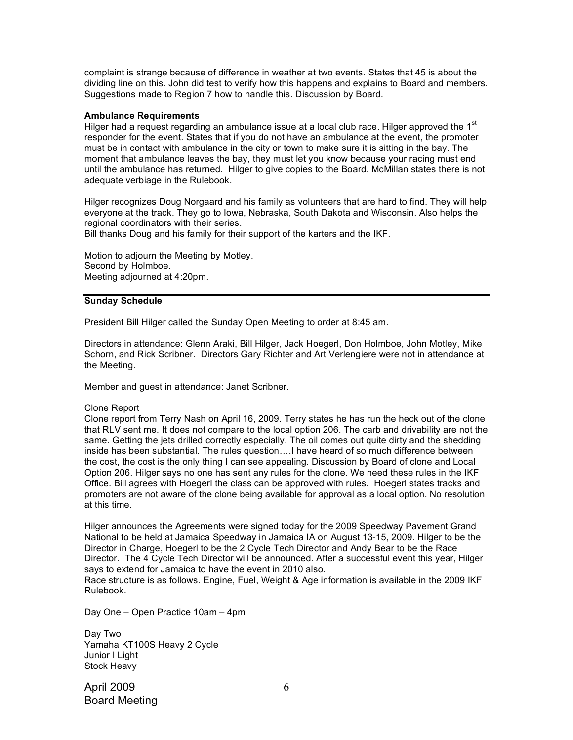complaint is strange because of difference in weather at two events. States that 45 is about the dividing line on this. John did test to verify how this happens and explains to Board and members. Suggestions made to Region 7 how to handle this. Discussion by Board.

#### **Ambulance Requirements**

Hilger had a request regarding an ambulance issue at a local club race. Hilger approved the 1<sup>st</sup> responder for the event. States that if you do not have an ambulance at the event, the promoter must be in contact with ambulance in the city or town to make sure it is sitting in the bay. The moment that ambulance leaves the bay, they must let you know because your racing must end until the ambulance has returned. Hilger to give copies to the Board. McMillan states there is not adequate verbiage in the Rulebook.

Hilger recognizes Doug Norgaard and his family as volunteers that are hard to find. They will help everyone at the track. They go to Iowa, Nebraska, South Dakota and Wisconsin. Also helps the regional coordinators with their series.

Bill thanks Doug and his family for their support of the karters and the IKF.

Motion to adjourn the Meeting by Motley. Second by Holmboe. Meeting adjourned at 4:20pm.

#### **Sunday Schedule**

President Bill Hilger called the Sunday Open Meeting to order at 8:45 am.

Directors in attendance: Glenn Araki, Bill Hilger, Jack Hoegerl, Don Holmboe, John Motley, Mike Schorn, and Rick Scribner. Directors Gary Richter and Art Verlengiere were not in attendance at the Meeting.

Member and guest in attendance: Janet Scribner.

#### Clone Report

Clone report from Terry Nash on April 16, 2009. Terry states he has run the heck out of the clone that RLV sent me. It does not compare to the local option 206. The carb and drivability are not the same. Getting the jets drilled correctly especially. The oil comes out quite dirty and the shedding inside has been substantial. The rules question….I have heard of so much difference between the cost, the cost is the only thing I can see appealing. Discussion by Board of clone and Local Option 206. Hilger says no one has sent any rules for the clone. We need these rules in the IKF Office. Bill agrees with Hoegerl the class can be approved with rules. Hoegerl states tracks and promoters are not aware of the clone being available for approval as a local option. No resolution at this time.

Hilger announces the Agreements were signed today for the 2009 Speedway Pavement Grand National to be held at Jamaica Speedway in Jamaica IA on August 13-15, 2009. Hilger to be the Director in Charge, Hoegerl to be the 2 Cycle Tech Director and Andy Bear to be the Race Director. The 4 Cycle Tech Director will be announced. After a successful event this year, Hilger says to extend for Jamaica to have the event in 2010 also.

Race structure is as follows. Engine, Fuel, Weight & Age information is available in the 2009 IKF Rulebook.

Day One – Open Practice 10am – 4pm

Day Two Yamaha KT100S Heavy 2 Cycle Junior I Light Stock Heavy

April 2009 Board Meeting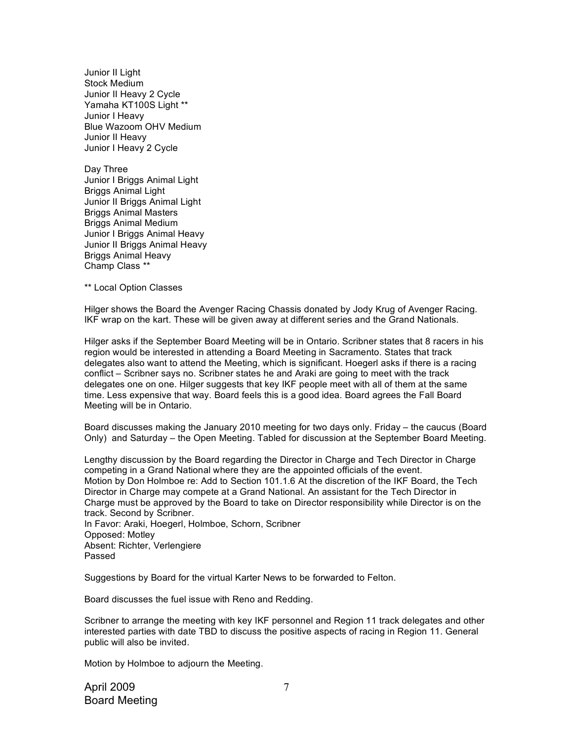Junior II Light Stock Medium Junior II Heavy 2 Cycle Yamaha KT100S Light \*\* Junior I Heavy Blue Wazoom OHV Medium Junior II Heavy Junior I Heavy 2 Cycle

Day Three Junior I Briggs Animal Light Briggs Animal Light Junior II Briggs Animal Light Briggs Animal Masters Briggs Animal Medium Junior I Briggs Animal Heavy Junior II Briggs Animal Heavy Briggs Animal Heavy Champ Class \*\*

\*\* Local Option Classes

Hilger shows the Board the Avenger Racing Chassis donated by Jody Krug of Avenger Racing. IKF wrap on the kart. These will be given away at different series and the Grand Nationals.

Hilger asks if the September Board Meeting will be in Ontario. Scribner states that 8 racers in his region would be interested in attending a Board Meeting in Sacramento. States that track delegates also want to attend the Meeting, which is significant. Hoegerl asks if there is a racing conflict – Scribner says no. Scribner states he and Araki are going to meet with the track delegates one on one. Hilger suggests that key IKF people meet with all of them at the same time. Less expensive that way. Board feels this is a good idea. Board agrees the Fall Board Meeting will be in Ontario.

Board discusses making the January 2010 meeting for two days only. Friday – the caucus (Board Only) and Saturday – the Open Meeting. Tabled for discussion at the September Board Meeting.

Lengthy discussion by the Board regarding the Director in Charge and Tech Director in Charge competing in a Grand National where they are the appointed officials of the event. Motion by Don Holmboe re: Add to Section 101.1.6 At the discretion of the IKF Board, the Tech Director in Charge may compete at a Grand National. An assistant for the Tech Director in Charge must be approved by the Board to take on Director responsibility while Director is on the track. Second by Scribner. In Favor: Araki, Hoegerl, Holmboe, Schorn, Scribner Opposed: Motley Absent: Richter, Verlengiere Passed

Suggestions by Board for the virtual Karter News to be forwarded to Felton.

Board discusses the fuel issue with Reno and Redding.

Scribner to arrange the meeting with key IKF personnel and Region 11 track delegates and other interested parties with date TBD to discuss the positive aspects of racing in Region 11. General public will also be invited.

Motion by Holmboe to adjourn the Meeting.

April 2009 Board Meeting